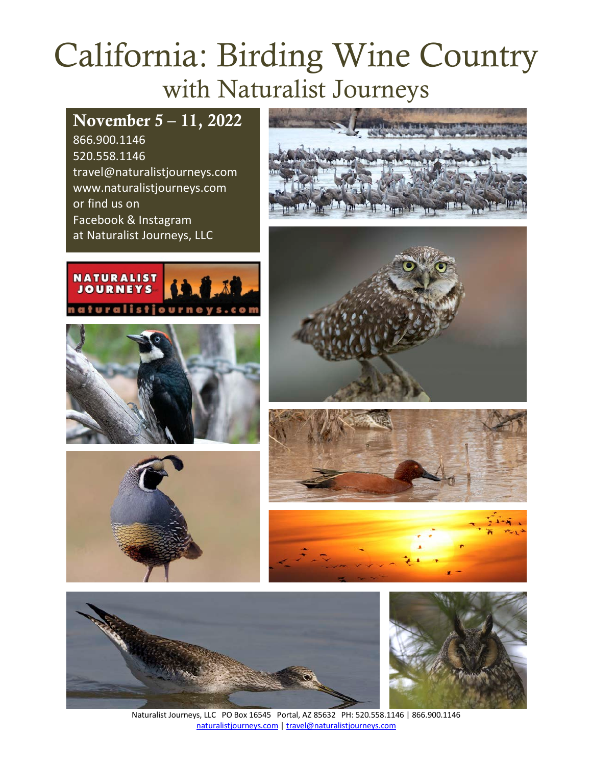# California: Birding Wine Country with Naturalist Journeys

# November 5 – 11, 2022

866.900.1146 520.558.1146 travel@naturalistjourneys.com www.naturalistjourneys.com or find us on Facebook & Instagram at Naturalist Journeys, LLC















Naturalist Journeys, LLC PO Box 16545 Portal, AZ 85632 PH: 520.558.1146 | 866.900.1146 naturalistjourneys.com | travel@naturalistjourneys.com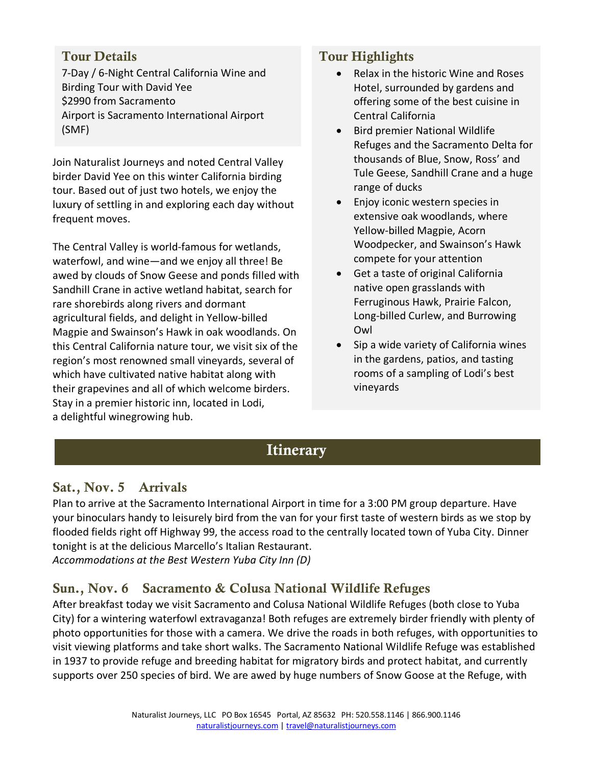#### Tour Details

7-Day / 6-Night Central California Wine and Birding Tour with David Yee \$2990 from Sacramento Airport is Sacramento International Airport (SMF)

Join Naturalist Journeys and noted Central Valley birder David Yee on this winter California birding tour. Based out of just two hotels, we enjoy the luxury of settling in and exploring each day without frequent moves.

The Central Valley is world-famous for wetlands, waterfowl, and wine—and we enjoy all three! Be awed by clouds of Snow Geese and ponds filled with Sandhill Crane in active wetland habitat, search for rare shorebirds along rivers and dormant agricultural fields, and delight in Yellow-billed Magpie and Swainson's Hawk in oak woodlands. On this Central California nature tour, we visit six of the region's most renowned small vineyards, several of which have cultivated native habitat along with their grapevines and all of which welcome birders. Stay in a premier historic inn, located in Lodi, a delightful winegrowing hub.

# Tour Highlights

- Relax in the historic Wine and Roses Hotel, surrounded by gardens and offering some of the best cuisine in Central California
- Bird premier National Wildlife Refuges and the Sacramento Delta for thousands of Blue, Snow, Ross' and Tule Geese, Sandhill Crane and a huge range of ducks
- Enjoy iconic western species in extensive oak woodlands, where Yellow-billed Magpie, Acorn Woodpecker, and Swainson's Hawk compete for your attention
- Get a taste of original California native open grasslands with Ferruginous Hawk, Prairie Falcon, Long-billed Curlew, and Burrowing Owl
- Sip a wide variety of California wines in the gardens, patios, and tasting rooms of a sampling of Lodi's best vineyards

# **Itinerary**

### Sat., Nov. 5 Arrivals

Plan to arrive at the Sacramento International Airport in time for a 3:00 PM group departure. Have your binoculars handy to leisurely bird from the van for your first taste of western birds as we stop by flooded fields right off Highway 99, the access road to the centrally located town of Yuba City. Dinner tonight is at the delicious Marcello's Italian Restaurant. *Accommodations at the Best Western Yuba City Inn (D)*

### Sun., Nov. 6 Sacramento & Colusa National Wildlife Refuges

After breakfast today we visit Sacramento and Colusa National Wildlife Refuges (both close to Yuba City) for a wintering waterfowl extravaganza! Both refuges are extremely birder friendly with plenty of photo opportunities for those with a camera. We drive the roads in both refuges, with opportunities to visit viewing platforms and take short walks. The Sacramento National Wildlife Refuge was established in 1937 to provide refuge and breeding habitat for migratory birds and protect habitat, and currently supports over 250 species of bird. We are awed by huge numbers of Snow Goose at the Refuge, with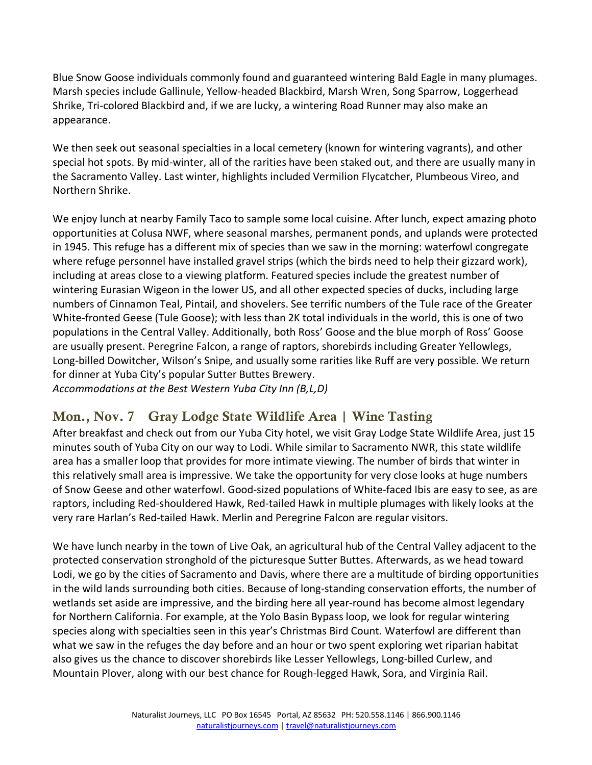Blue Snow Goose individuals commonly found and guaranteed wintering Bald Eagle in many plumages. Marsh species include Gallinule, Yellow-headed Blackbird, Marsh Wren, Song Sparrow, Loggerhead Shrike, Tri-colored Blackbird and, if we are lucky, a wintering Road Runner may also make an appearance.

We then seek out seasonal specialties in a local cemetery (known for wintering vagrants), and other special hot spots. By mid-winter, all of the rarities have been staked out, and there are usually many in the Sacramento Valley. Last winter, highlights included Vermilion Flycatcher, Plumbeous Vireo, and Northern Shrike.

We enjoy lunch at nearby Family Taco to sample some local cuisine. After lunch, expect amazing photo opportunities at Colusa NWF, where seasonal marshes, permanent ponds, and uplands were protected in 1945. This refuge has a different mix of species than we saw in the morning: waterfowl congregate where refuge personnel have installed gravel strips (which the birds need to help their gizzard work), including at areas close to a viewing platform. Featured species include the greatest number of wintering Eurasian Wigeon in the lower US, and all other expected species of ducks, including large numbers of Cinnamon Teal, Pintail, and shovelers. See terrific numbers of the Tule race of the Greater White-fronted Geese (Tule Goose); with less than 2K total individuals in the world, this is one of two populations in the Central Valley. Additionally, both Ross' Goose and the blue morph of Ross' Goose are usually present. Peregrine Falcon, a range of raptors, shorebirds including Greater Yellowlegs, Long-billed Dowitcher, Wilson's Snipe, and usually some rarities like Ruff are very possible. We return for dinner at Yuba City's popular Sutter Buttes Brewery.

*Accommodations at the Best Western Yuba City Inn (B,L,D)*

### Mon., Nov. 7 Gray Lodge State Wildlife Area | Wine Tasting

After breakfast and check out from our Yuba City hotel, we visit Gray Lodge State Wildlife Area, just 15 minutes south of Yuba City on our way to Lodi. While similar to Sacramento NWR, this state wildlife area has a smaller loop that provides for more intimate viewing. The number of birds that winter in this relatively small area is impressive. We take the opportunity for very close looks at huge numbers of Snow Geese and other waterfowl. Good-sized populations of White-faced Ibis are easy to see, as are raptors, including Red-shouldered Hawk, Red-tailed Hawk in multiple plumages with likely looks at the very rare Harlan's Red-tailed Hawk. Merlin and Peregrine Falcon are regular visitors.

We have lunch nearby in the town of Live Oak, an agricultural hub of the Central Valley adjacent to the protected conservation stronghold of the picturesque Sutter Buttes. Afterwards, as we head toward Lodi, we go by the cities of Sacramento and Davis, where there are a multitude of birding opportunities in the wild lands surrounding both cities. Because of long-standing conservation efforts, the number of wetlands set aside are impressive, and the birding here all year-round has become almost legendary for Northern California. For example, at the Yolo Basin Bypass loop, we look for regular wintering species along with specialties seen in this year's Christmas Bird Count. Waterfowl are different than what we saw in the refuges the day before and an hour or two spent exploring wet riparian habitat also gives us the chance to discover shorebirds like Lesser Yellowlegs, Long-billed Curlew, and Mountain Plover, along with our best chance for Rough-legged Hawk, Sora, and Virginia Rail.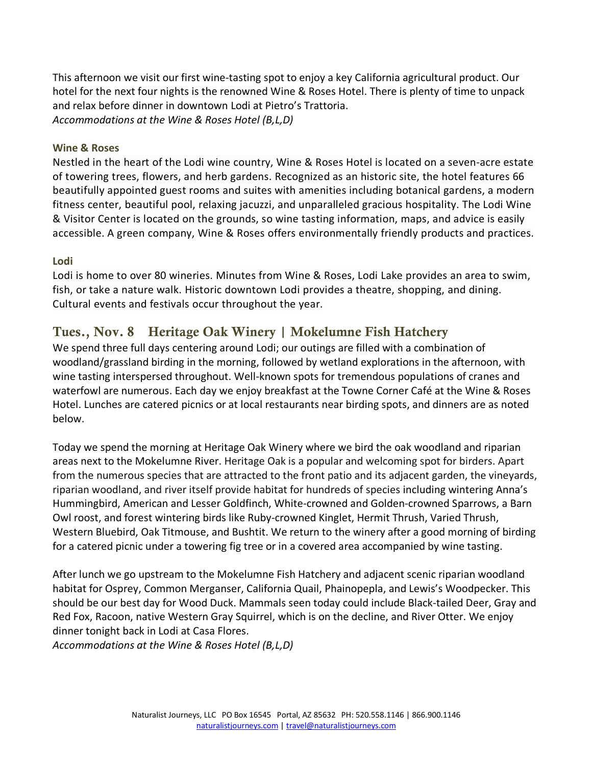This afternoon we visit our first wine-tasting spot to enjoy a key California agricultural product. Our hotel for the next four nights is the renowned Wine & Roses Hotel. There is plenty of time to unpack and relax before dinner in downtown Lodi at Pietro's Trattoria. *Accommodations at the Wine & Roses Hotel (B,L,D)*

#### **Wine & Roses**

Nestled in the heart of the Lodi wine country, Wine & Roses Hotel is located on a seven-acre estate of towering trees, flowers, and herb gardens. Recognized as an historic site, the hotel features 66 beautifully appointed guest rooms and suites with amenities including botanical gardens, a modern fitness center, beautiful pool, relaxing jacuzzi, and unparalleled gracious hospitality. The Lodi Wine & Visitor Center is located on the grounds, so wine tasting information, maps, and advice is easily accessible. A green company, Wine & Roses offers environmentally friendly products and practices.

**Lodi**

Lodi is home to over 80 wineries. Minutes from Wine & Roses, Lodi Lake provides an area to swim, fish, or take a nature walk. Historic downtown Lodi provides a theatre, shopping, and dining. Cultural events and festivals occur throughout the year.

#### Tues., Nov. 8 Heritage Oak Winery | Mokelumne Fish Hatchery

We spend three full days centering around Lodi; our outings are filled with a combination of woodland/grassland birding in the morning, followed by wetland explorations in the afternoon, with wine tasting interspersed throughout. Well-known spots for tremendous populations of cranes and waterfowl are numerous. Each day we enjoy breakfast at the Towne Corner Café at the Wine & Roses Hotel. Lunches are catered picnics or at local restaurants near birding spots, and dinners are as noted below.

Today we spend the morning at Heritage Oak Winery where we bird the oak woodland and riparian areas next to the Mokelumne River. Heritage Oak is a popular and welcoming spot for birders. Apart from the numerous species that are attracted to the front patio and its adjacent garden, the vineyards, riparian woodland, and river itself provide habitat for hundreds of species including wintering Anna's Hummingbird, American and Lesser Goldfinch, White-crowned and Golden-crowned Sparrows, a Barn Owl roost, and forest wintering birds like Ruby-crowned Kinglet, Hermit Thrush, Varied Thrush, Western Bluebird, Oak Titmouse, and Bushtit. We return to the winery after a good morning of birding for a catered picnic under a towering fig tree or in a covered area accompanied by wine tasting.

After lunch we go upstream to the Mokelumne Fish Hatchery and adjacent scenic riparian woodland habitat for Osprey, Common Merganser, California Quail, Phainopepla, and Lewis's Woodpecker. This should be our best day for Wood Duck. Mammals seen today could include Black-tailed Deer, Gray and Red Fox, Racoon, native Western Gray Squirrel, which is on the decline, and River Otter. We enjoy dinner tonight back in Lodi at Casa Flores.

*Accommodations at the Wine & Roses Hotel (B,L,D)*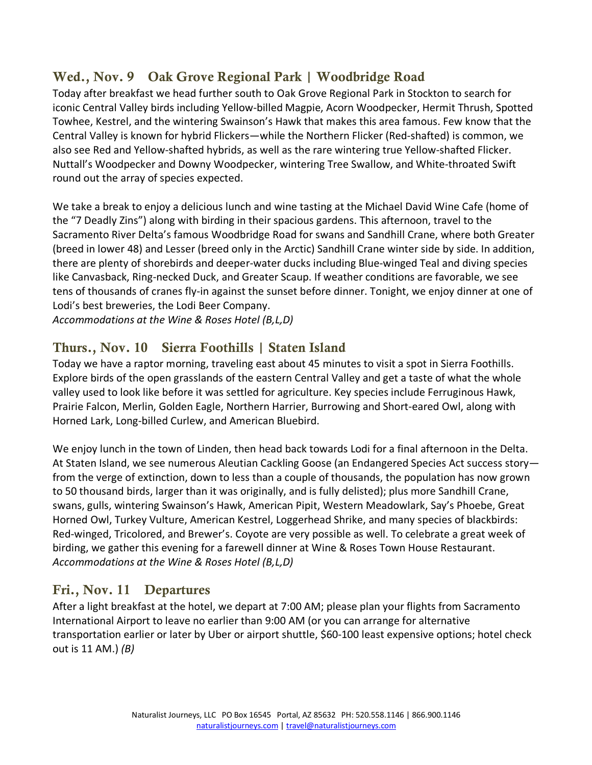# Wed., Nov. 9 Oak Grove Regional Park | Woodbridge Road

Today after breakfast we head further south to Oak Grove Regional Park in Stockton to search for iconic Central Valley birds including Yellow-billed Magpie, Acorn Woodpecker, Hermit Thrush, Spotted Towhee, Kestrel, and the wintering Swainson's Hawk that makes this area famous. Few know that the Central Valley is known for hybrid Flickers—while the Northern Flicker (Red-shafted) is common, we also see Red and Yellow-shafted hybrids, as well as the rare wintering true Yellow-shafted Flicker. Nuttall's Woodpecker and Downy Woodpecker, wintering Tree Swallow, and White-throated Swift round out the array of species expected.

We take a break to enjoy a delicious lunch and wine tasting at the Michael David Wine Cafe (home of the "7 Deadly Zins") along with birding in their spacious gardens. This afternoon, travel to the Sacramento River Delta's famous Woodbridge Road for swans and Sandhill Crane, where both Greater (breed in lower 48) and Lesser (breed only in the Arctic) Sandhill Crane winter side by side. In addition, there are plenty of shorebirds and deeper-water ducks including Blue-winged Teal and diving species like Canvasback, Ring-necked Duck, and Greater Scaup. If weather conditions are favorable, we see tens of thousands of cranes fly-in against the sunset before dinner. Tonight, we enjoy dinner at one of Lodi's best breweries, the Lodi Beer Company.

*Accommodations at the Wine & Roses Hotel (B,L,D)*

#### Thurs., Nov. 10 Sierra Foothills | Staten Island

Today we have a raptor morning, traveling east about 45 minutes to visit a spot in Sierra Foothills. Explore birds of the open grasslands of the eastern Central Valley and get a taste of what the whole valley used to look like before it was settled for agriculture. Key species include Ferruginous Hawk, Prairie Falcon, Merlin, Golden Eagle, Northern Harrier, Burrowing and Short-eared Owl, along with Horned Lark, Long-billed Curlew, and American Bluebird.

We enjoy lunch in the town of Linden, then head back towards Lodi for a final afternoon in the Delta. At Staten Island, we see numerous Aleutian Cackling Goose (an Endangered Species Act success story from the verge of extinction, down to less than a couple of thousands, the population has now grown to 50 thousand birds, larger than it was originally, and is fully delisted); plus more Sandhill Crane, swans, gulls, wintering Swainson's Hawk, American Pipit, Western Meadowlark, Say's Phoebe, Great Horned Owl, Turkey Vulture, American Kestrel, Loggerhead Shrike, and many species of blackbirds: Red-winged, Tricolored, and Brewer's. Coyote are very possible as well. To celebrate a great week of birding, we gather this evening for a farewell dinner at Wine & Roses Town House Restaurant. *Accommodations at the Wine & Roses Hotel (B,L,D)*

#### Fri., Nov. 11 Departures

After a light breakfast at the hotel, we depart at 7:00 AM; please plan your flights from Sacramento International Airport to leave no earlier than 9:00 AM (or you can arrange for alternative transportation earlier or later by Uber or airport shuttle, \$60-100 least expensive options; hotel check out is 11 AM.) *(B)*